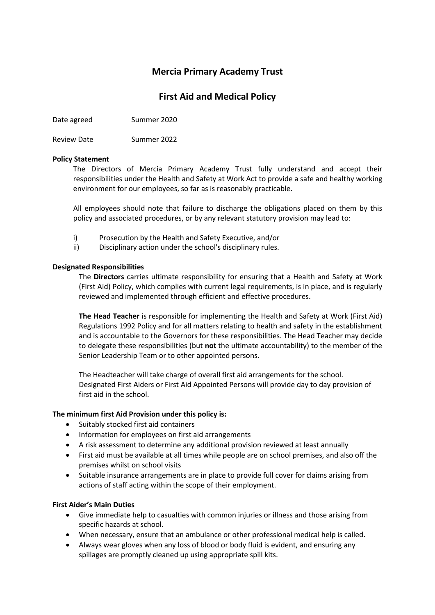# **Mercia Primary Academy Trust**

# **First Aid and Medical Policy**

Date agreed Summer 2020

Review Date Summer 2022

### **Policy Statement**

The Directors of Mercia Primary Academy Trust fully understand and accept their responsibilities under the Health and Safety at Work Act to provide a safe and healthy working environment for our employees, so far as is reasonably practicable.

All employees should note that failure to discharge the obligations placed on them by this policy and associated procedures, or by any relevant statutory provision may lead to:

- i) Prosecution by the Health and Safety Executive, and/or
- ii) Disciplinary action under the school's disciplinary rules.

#### **Designated Responsibilities**

The **Directors** carries ultimate responsibility for ensuring that a Health and Safety at Work (First Aid) Policy, which complies with current legal requirements, is in place, and is regularly reviewed and implemented through efficient and effective procedures.

**The Head Teacher** is responsible for implementing the Health and Safety at Work (First Aid) Regulations 1992 Policy and for all matters relating to health and safety in the establishment and is accountable to the Governors for these responsibilities. The Head Teacher may decide to delegate these responsibilities (but **not** the ultimate accountability) to the member of the Senior Leadership Team or to other appointed persons.

The Headteacher will take charge of overall first aid arrangements for the school. Designated First Aiders or First Aid Appointed Persons will provide day to day provision of first aid in the school.

### **The minimum first Aid Provision under this policy is:**

- Suitably stocked first aid containers
- Information for employees on first aid arrangements
- A risk assessment to determine any additional provision reviewed at least annually
- First aid must be available at all times while people are on school premises, and also off the premises whilst on school visits
- Suitable insurance arrangements are in place to provide full cover for claims arising from actions of staff acting within the scope of their employment.

#### **First Aider's Main Duties**

- Give immediate help to casualties with common injuries or illness and those arising from specific hazards at school.
- When necessary, ensure that an ambulance or other professional medical help is called.
- Always wear gloves when any loss of blood or body fluid is evident, and ensuring any spillages are promptly cleaned up using appropriate spill kits.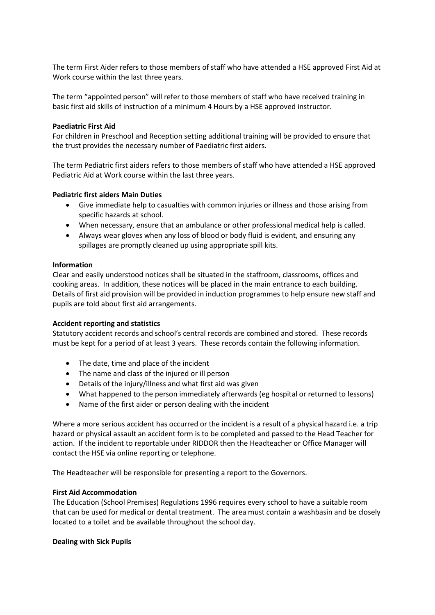The term First Aider refers to those members of staff who have attended a HSE approved First Aid at Work course within the last three years.

The term "appointed person" will refer to those members of staff who have received training in basic first aid skills of instruction of a minimum 4 Hours by a HSE approved instructor.

### **Paediatric First Aid**

For children in Preschool and Reception setting additional training will be provided to ensure that the trust provides the necessary number of Paediatric first aiders.

The term Pediatric first aiders refers to those members of staff who have attended a HSE approved Pediatric Aid at Work course within the last three years.

#### **Pediatric first aiders Main Duties**

- Give immediate help to casualties with common injuries or illness and those arising from specific hazards at school.
- When necessary, ensure that an ambulance or other professional medical help is called.
- Always wear gloves when any loss of blood or body fluid is evident, and ensuring any spillages are promptly cleaned up using appropriate spill kits.

#### **Information**

Clear and easily understood notices shall be situated in the staffroom, classrooms, offices and cooking areas. In addition, these notices will be placed in the main entrance to each building. Details of first aid provision will be provided in induction programmes to help ensure new staff and pupils are told about first aid arrangements.

#### **Accident reporting and statistics**

Statutory accident records and school's central records are combined and stored. These records must be kept for a period of at least 3 years. These records contain the following information.

- The date, time and place of the incident
- The name and class of the injured or ill person
- Details of the injury/illness and what first aid was given
- What happened to the person immediately afterwards (eg hospital or returned to lessons)
- Name of the first aider or person dealing with the incident

Where a more serious accident has occurred or the incident is a result of a physical hazard i.e. a trip hazard or physical assault an accident form is to be completed and passed to the Head Teacher for action. If the incident to reportable under RIDDOR then the Headteacher or Office Manager will contact the HSE via online reporting or telephone.

The Headteacher will be responsible for presenting a report to the Governors.

#### **First Aid Accommodation**

The Education (School Premises) Regulations 1996 requires every school to have a suitable room that can be used for medical or dental treatment. The area must contain a washbasin and be closely located to a toilet and be available throughout the school day.

#### **Dealing with Sick Pupils**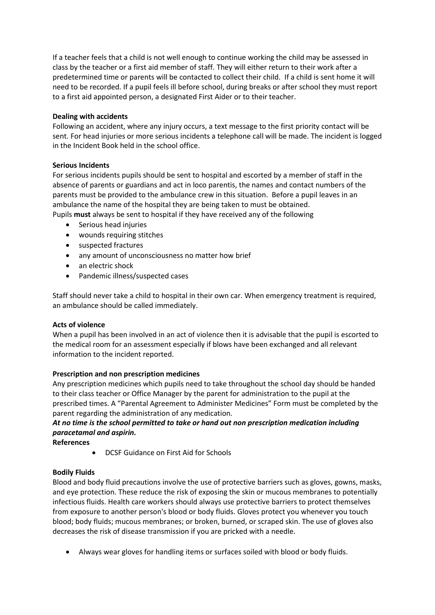If a teacher feels that a child is not well enough to continue working the child may be assessed in class by the teacher or a first aid member of staff. They will either return to their work after a predetermined time or parents will be contacted to collect their child. If a child is sent home it will need to be recorded. If a pupil feels ill before school, during breaks or after school they must report to a first aid appointed person, a designated First Aider or to their teacher.

### **Dealing with accidents**

Following an accident, where any injury occurs, a text message to the first priority contact will be sent. For head injuries or more serious incidents a telephone call will be made. The incident is logged in the Incident Book held in the school office.

### **Serious Incidents**

For serious incidents pupils should be sent to hospital and escorted by a member of staff in the absence of parents or guardians and act in loco parentis, the names and contact numbers of the parents must be provided to the ambulance crew in this situation. Before a pupil leaves in an ambulance the name of the hospital they are being taken to must be obtained.

Pupils **must** always be sent to hospital if they have received any of the following

- Serious head injuries
- wounds requiring stitches
- suspected fractures
- any amount of unconsciousness no matter how brief
- an electric shock
- Pandemic illness/suspected cases

Staff should never take a child to hospital in their own car. When emergency treatment is required, an ambulance should be called immediately.

# **Acts of violence**

When a pupil has been involved in an act of violence then it is advisable that the pupil is escorted to the medical room for an assessment especially if blows have been exchanged and all relevant information to the incident reported.

# **Prescription and non prescription medicines**

Any prescription medicines which pupils need to take throughout the school day should be handed to their class teacher or Office Manager by the parent for administration to the pupil at the prescribed times. A "Parental Agreement to Administer Medicines" Form must be completed by the parent regarding the administration of any medication.

# *At no time is the school permitted to take or hand out non prescription medication including paracetamal and aspirin.*

**References**

DCSF Guidance on First Aid for Schools

# **Bodily Fluids**

Blood and body fluid precautions involve the use of protective barriers such as gloves, gowns, masks, and eye protection. These reduce the risk of exposing the skin or mucous membranes to potentially infectious fluids. Health care workers should always use protective barriers to protect themselves from exposure to another person's blood or body fluids. Gloves protect you whenever you touch blood; body fluids[; mucous membranes;](http://www.webmd.com/hw-popup/mucous-membranes) or broken, burned, or scraped skin. The use of gloves also decreases the risk of disease transmission if you are pricked with a needle.

Always wear gloves for handling items or surfaces soiled with blood or body fluids.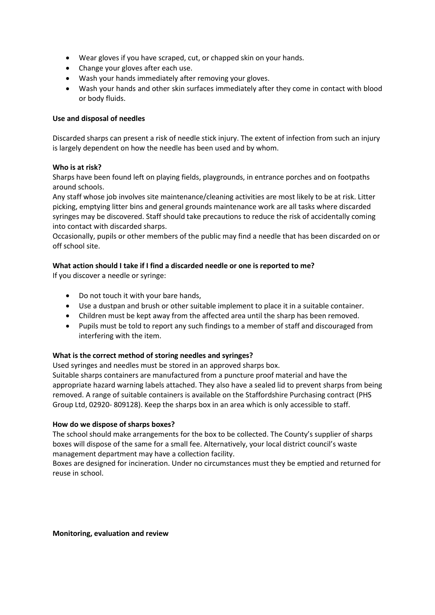- Wear gloves if you have scraped, cut, or chapped skin on your hands.
- Change your gloves after each use.
- [Wash your hands](http://www.webmd.com/hw-popup/hand-washing) immediately after removing your gloves.
- Wash your hands and other skin surfaces immediately after they come in contact with blood or body fluids.

### **Use and disposal of needles**

Discarded sharps can present a risk of needle stick injury. The extent of infection from such an injury is largely dependent on how the needle has been used and by whom.

### **Who is at risk?**

Sharps have been found left on playing fields, playgrounds, in entrance porches and on footpaths around schools.

Any staff whose job involves site maintenance/cleaning activities are most likely to be at risk. Litter picking, emptying litter bins and general grounds maintenance work are all tasks where discarded syringes may be discovered. Staff should take precautions to reduce the risk of accidentally coming into contact with discarded sharps.

Occasionally, pupils or other members of the public may find a needle that has been discarded on or off school site.

# **What action should I take if I find a discarded needle or one is reported to me?**

If you discover a needle or syringe:

- Do not touch it with your bare hands,
- Use a dustpan and brush or other suitable implement to place it in a suitable container.
- Children must be kept away from the affected area until the sharp has been removed.
- Pupils must be told to report any such findings to a member of staff and discouraged from interfering with the item.

### **What is the correct method of storing needles and syringes?**

Used syringes and needles must be stored in an approved sharps box.

Suitable sharps containers are manufactured from a puncture proof material and have the appropriate hazard warning labels attached. They also have a sealed lid to prevent sharps from being removed. A range of suitable containers is available on the Staffordshire Purchasing contract (PHS Group Ltd, 02920- 809128). Keep the sharps box in an area which is only accessible to staff.

### **How do we dispose of sharps boxes?**

The school should make arrangements for the box to be collected. The County's supplier of sharps boxes will dispose of the same for a small fee. Alternatively, your local district council's waste management department may have a collection facility.

Boxes are designed for incineration. Under no circumstances must they be emptied and returned for reuse in school.

**Monitoring, evaluation and review**